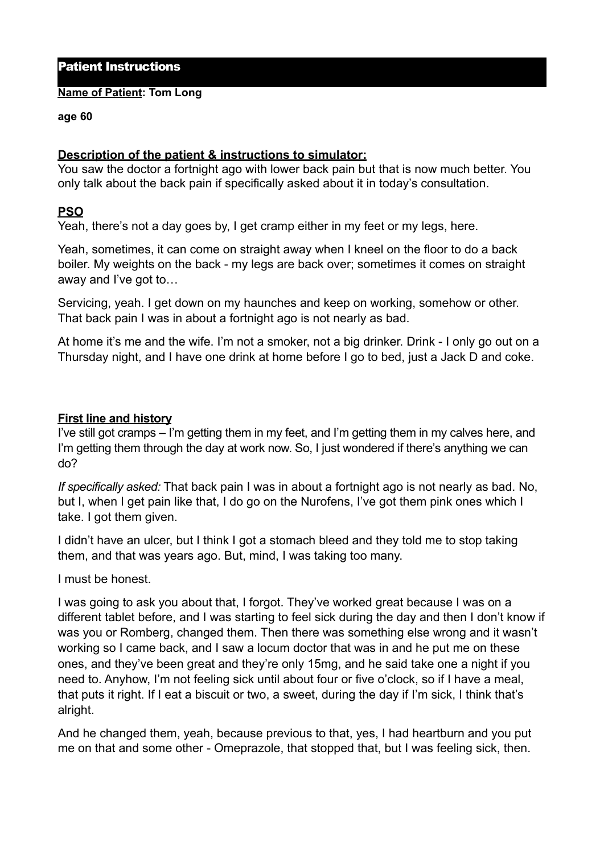# Patient Instructions

#### **Name of Patient: Tom Long**

#### **age 60**

## **Description of the patient & instructions to simulator:**

You saw the doctor a fortnight ago with lower back pain but that is now much better. You only talk about the back pain if specifically asked about it in today's consultation.

## **PSO**

Yeah, there's not a day goes by, I get cramp either in my feet or my legs, here.

Yeah, sometimes, it can come on straight away when I kneel on the floor to do a back boiler. My weights on the back - my legs are back over; sometimes it comes on straight away and I've got to…

Servicing, yeah. I get down on my haunches and keep on working, somehow or other. That back pain I was in about a fortnight ago is not nearly as bad.

At home it's me and the wife. I'm not a smoker, not a big drinker. Drink - I only go out on a Thursday night, and I have one drink at home before I go to bed, just a Jack D and coke.

### **First line and history**

I've still got cramps – I'm getting them in my feet, and I'm getting them in my calves here, and I'm getting them through the day at work now. So, I just wondered if there's anything we can do?

*If specifically asked:* That back pain I was in about a fortnight ago is not nearly as bad. No, but I, when I get pain like that, I do go on the Nurofens, I've got them pink ones which I take. I got them given.

I didn't have an ulcer, but I think I got a stomach bleed and they told me to stop taking them, and that was years ago. But, mind, I was taking too many.

I must be honest.

I was going to ask you about that, I forgot. They've worked great because I was on a different tablet before, and I was starting to feel sick during the day and then I don't know if was you or Romberg, changed them. Then there was something else wrong and it wasn't working so I came back, and I saw a locum doctor that was in and he put me on these ones, and they've been great and they're only 15mg, and he said take one a night if you need to. Anyhow, I'm not feeling sick until about four or five o'clock, so if I have a meal, that puts it right. If I eat a biscuit or two, a sweet, during the day if I'm sick, I think that's alright.

And he changed them, yeah, because previous to that, yes, I had heartburn and you put me on that and some other - Omeprazole, that stopped that, but I was feeling sick, then.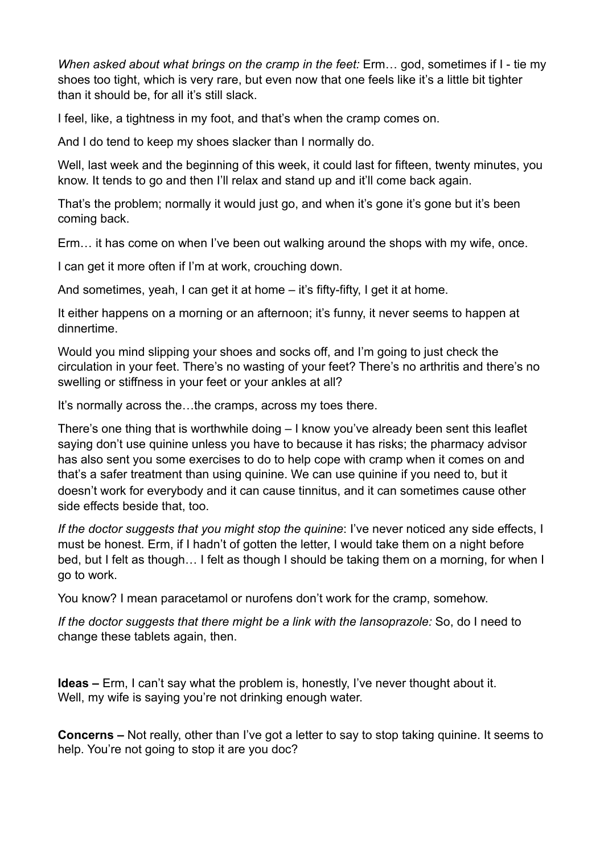*When asked about what brings on the cramp in the feet:* Erm… god, sometimes if I - tie my shoes too tight, which is very rare, but even now that one feels like it's a little bit tighter than it should be, for all it's still slack.

I feel, like, a tightness in my foot, and that's when the cramp comes on.

And I do tend to keep my shoes slacker than I normally do.

Well, last week and the beginning of this week, it could last for fifteen, twenty minutes, you know. It tends to go and then I'll relax and stand up and it'll come back again.

That's the problem; normally it would just go, and when it's gone it's gone but it's been coming back.

Erm… it has come on when I've been out walking around the shops with my wife, once.

I can get it more often if I'm at work, crouching down.

And sometimes, yeah, I can get it at home – it's fifty-fifty, I get it at home.

It either happens on a morning or an afternoon; it's funny, it never seems to happen at dinnertime.

Would you mind slipping your shoes and socks off, and I'm going to just check the circulation in your feet. There's no wasting of your feet? There's no arthritis and there's no swelling or stiffness in your feet or your ankles at all?

It's normally across the…the cramps, across my toes there.

There's one thing that is worthwhile doing – I know you've already been sent this leaflet saying don't use quinine unless you have to because it has risks; the pharmacy advisor has also sent you some exercises to do to help cope with cramp when it comes on and that's a safer treatment than using quinine. We can use quinine if you need to, but it doesn't work for everybody and it can cause tinnitus, and it can sometimes cause other side effects beside that, too.

*If the doctor suggests that you might stop the quinine*: I've never noticed any side effects, I must be honest. Erm, if I hadn't of gotten the letter, I would take them on a night before bed, but I felt as though… I felt as though I should be taking them on a morning, for when I go to work.

You know? I mean paracetamol or nurofens don't work for the cramp, somehow.

*If the doctor suggests that there might be a link with the lansoprazole:* So, do I need to change these tablets again, then.

**Ideas –** Erm, I can't say what the problem is, honestly, I've never thought about it. Well, my wife is saying you're not drinking enough water.

**Concerns –** Not really, other than I've got a letter to say to stop taking quinine. It seems to help. You're not going to stop it are you doc?